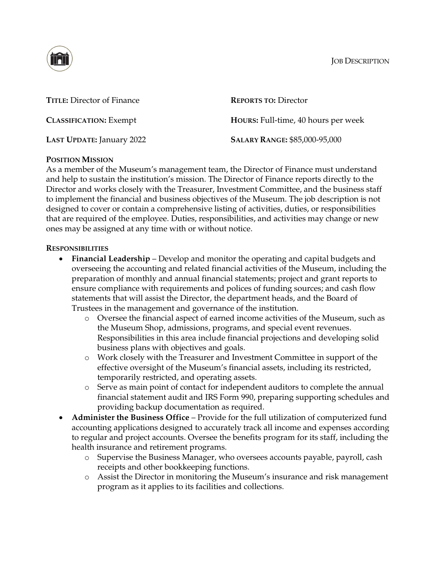

**TITLE:** Director of Finance **CLASSIFICATION:** Exempt **LAST UPDATE:** January 2022 **REPORTS TO:** Director **HOURS:** Full-time, 40 hours per week **SALARY RANGE:** \$85,000-95,000

## **POSITION MISSION**

As a member of the Museum's management team, the Director of Finance must understand and help to sustain the institution's mission. The Director of Finance reports directly to the Director and works closely with the Treasurer, Investment Committee, and the business staff to implement the financial and business objectives of the Museum. The job description is not designed to cover or contain a comprehensive listing of activities, duties, or responsibilities that are required of the employee. Duties, responsibilities, and activities may change or new ones may be assigned at any time with or without notice.

## **RESPONSIBILITIES**

- **Financial Leadership** Develop and monitor the operating and capital budgets and overseeing the accounting and related financial activities of the Museum, including the preparation of monthly and annual financial statements; project and grant reports to ensure compliance with requirements and polices of funding sources; and cash flow statements that will assist the Director, the department heads, and the Board of Trustees in the management and governance of the institution.
	- o Oversee the financial aspect of earned income activities of the Museum, such as the Museum Shop, admissions, programs, and special event revenues. Responsibilities in this area include financial projections and developing solid business plans with objectives and goals.
	- o Work closely with the Treasurer and Investment Committee in support of the effective oversight of the Museum's financial assets, including its restricted, temporarily restricted, and operating assets.
	- o Serve as main point of contact for independent auditors to complete the annual financial statement audit and IRS Form 990, preparing supporting schedules and providing backup documentation as required.
- **Administer the Business Office** Provide for the full utilization of computerized fund accounting applications designed to accurately track all income and expenses according to regular and project accounts. Oversee the benefits program for its staff, including the health insurance and retirement programs.
	- o Supervise the Business Manager, who oversees accounts payable, payroll, cash receipts and other bookkeeping functions.
	- o Assist the Director in monitoring the Museum's insurance and risk management program as it applies to its facilities and collections.